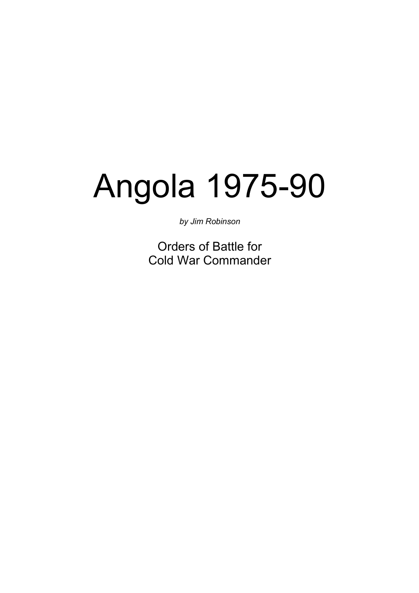# Angola 1975-90

by Jim Robinson

Orders of Battle for Cold War Commander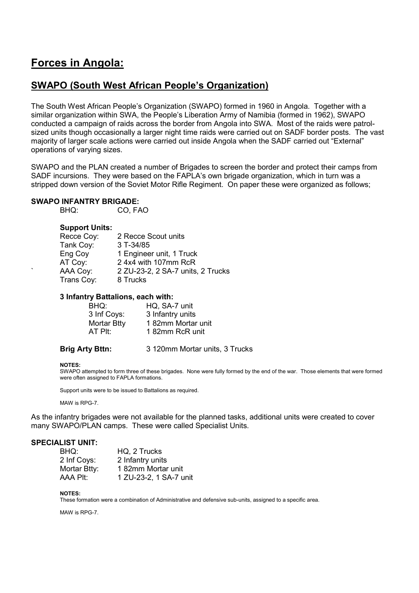# Forces in Angola:

# SWAPO (South West African People's Organization)

The South West African People's Organization (SWAPO) formed in 1960 in Angola. Together with a similar organization within SWA, the People's Liberation Army of Namibia (formed in 1962), SWAPO conducted a campaign of raids across the border from Angola into SWA. Most of the raids were patrolsized units though occasionally a larger night time raids were carried out on SADF border posts. The vast majority of larger scale actions were carried out inside Angola when the SADF carried out "External" operations of varying sizes.

SWAPO and the PLAN created a number of Brigades to screen the border and protect their camps from SADF incursions. They were based on the FAPLA's own brigade organization, which in turn was a stripped down version of the Soviet Motor Rifle Regiment. On paper these were organized as follows;

# SWAPO INFANTRY BRIGADE:<br>RHO: COLEA

CO, FAO

# Support Units:

| Recce Coy: | 2 Recce Scout units               |
|------------|-----------------------------------|
| Tank Coy:  | $3$ T-34/85                       |
| Eng Coy    | 1 Engineer unit, 1 Truck          |
| AT Coy:    | 2 4x4 with 107mm RcR              |
| AAA Coy:   | 2 ZU-23-2, 2 SA-7 units, 2 Trucks |
| Trans Coy: | 8 Trucks                          |
|            |                                   |

# 3 Infantry Battalions, each with:

| BHQ:        | HQ, SA-7 unit     |
|-------------|-------------------|
| 3 Inf Coys: | 3 Infantry units  |
| Mortar Btty | 182mm Mortar unit |
| AT PIt:     | 182mm RcR unit    |
|             |                   |

Brig Arty Bttn: 3 120mm Mortar units, 3 Trucks

#### NOTES:

SWAPO attempted to form three of these brigades. None were fully formed by the end of the war. Those elements that were formed were often assigned to FAPLA formations.

Support units were to be issued to Battalions as required.

MAW is RPG-7.

As the infantry brigades were not available for the planned tasks, additional units were created to cover many SWAPO/PLAN camps. These were called Specialist Units.

# SPECIALIST UNIT:

| BHQ:         | HQ, 2 Trucks           |
|--------------|------------------------|
| 2 Inf Coys:  | 2 Infantry units       |
| Mortar Btty: | 182mm Mortar unit      |
| AAA PIt:     | 1 ZU-23-2, 1 SA-7 unit |

NOTES:

These formation were a combination of Administrative and defensive sub-units, assigned to a specific area.

MAW is RPG-7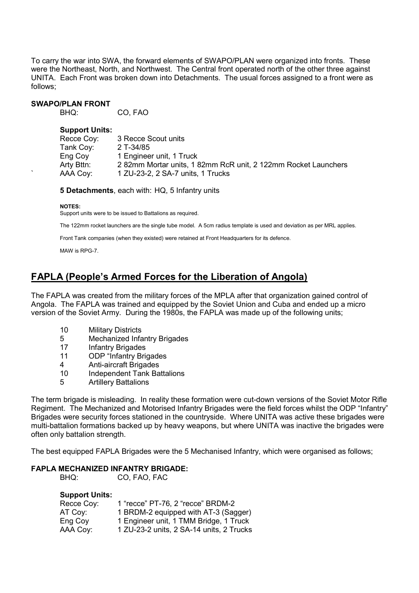To carry the war into SWA, the forward elements of SWAPO/PLAN were organized into fronts. These were the Northeast, North, and Northwest. The Central front operated north of the other three against UNITA. Each Front was broken down into Detachments. The usual forces assigned to a front were as follows;

# **SWAPO/PLAN FRONT**<br>BHQ:

CO, FAO

#### Support Units:

| Recce Coy: | 3 Recce Scout units                                            |
|------------|----------------------------------------------------------------|
| Tank Coy:  | 2 T-34/85                                                      |
| Eng Coy    | 1 Engineer unit, 1 Truck                                       |
| Arty Bttn: | 2 82mm Mortar units, 1 82mm RcR unit, 2 122mm Rocket Launchers |
| AAA Coy:   | 1 ZU-23-2, 2 SA-7 units, 1 Trucks                              |

5 Detachments, each with: HQ, 5 Infantry units

#### NOTES:

Support units were to be issued to Battalions as required.

The 122mm rocket launchers are the single tube model. A 5cm radius template is used and deviation as per MRL applies.

Front Tank companies (when they existed) were retained at Front Headquarters for its defence.

MAW is RPG-7.

# FAPLA (People's Armed Forces for the Liberation of Angola)

The FAPLA was created from the military forces of the MPLA after that organization gained control of Angola. The FAPLA was trained and equipped by the Soviet Union and Cuba and ended up a micro version of the Soviet Army. During the 1980s, the FAPLA was made up of the following units;

- 10 Military Districts
- 5 Mechanized Infantry Brigades
- 17 Infantry Brigades
- 11 ODP "Infantry Brigades
- 4 Anti-aircraft Brigades<br>10 Independent Tank Ba
- Independent Tank Battalions
- 5 Artillery Battalions

The term brigade is misleading. In reality these formation were cut-down versions of the Soviet Motor Rifle Regiment. The Mechanized and Motorised Infantry Brigades were the field forces whilst the ODP "Infantry" Brigades were security forces stationed in the countryside. Where UNITA was active these brigades were multi-battalion formations backed up by heavy weapons, but where UNITA was inactive the brigades were often only battalion strength.

The best equipped FAPLA Brigades were the 5 Mechanised Infantry, which were organised as follows;

# FAPLA MECHANIZED INFANTRY BRIGADE:<br>BHO: CO FAO FAC

CO, FAO, FAC

# Support Units:

| Recce Coy: | 1 "recce" PT-76, 2 "recce" BRDM-2        |
|------------|------------------------------------------|
| AT Coy:    | 1 BRDM-2 equipped with AT-3 (Sagger)     |
| Eng Coy    | 1 Engineer unit, 1 TMM Bridge, 1 Truck   |
| AAA Coy:   | 1 ZU-23-2 units, 2 SA-14 units, 2 Trucks |
|            |                                          |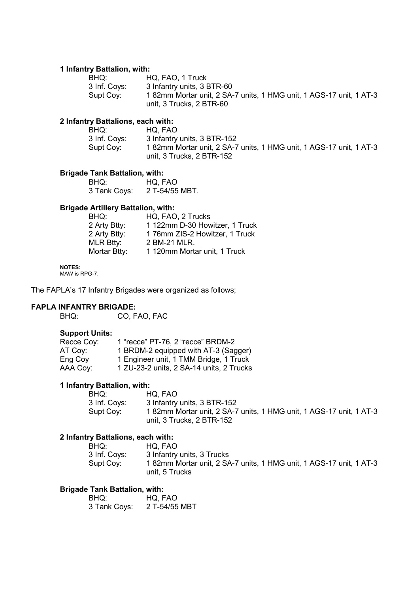# 1 Infantry Battalion, with:

| BHQ:         | HQ, FAO, 1 Truck                                                   |
|--------------|--------------------------------------------------------------------|
| 3 Inf. Coys: | 3 Infantry units, 3 BTR-60                                         |
| Supt Cov:    | 182mm Mortar unit, 2 SA-7 units, 1 HMG unit, 1 AGS-17 unit, 1 AT-3 |
|              | unit, 3 Trucks, 2 BTR-60                                           |

# 2 Infantry Battalions, each with:

| BHQ:         | HQ. FAO                                                            |
|--------------|--------------------------------------------------------------------|
| 3 Inf. Coys: | 3 Infantry units, 3 BTR-152                                        |
| Supt Cov:    | 182mm Mortar unit, 2 SA-7 units, 1 HMG unit, 1 AGS-17 unit, 1 AT-3 |
|              | unit, 3 Trucks, 2 BTR-152                                          |

# **Brigade Tank Battalion, with:**<br>BHQ: HQ, F

 BHQ: HQ, FAO 3 Tank Coys: 2 T-54/55 MBT.

# Brigade Artillery Battalion, with:

| HQ, FAO, 2 Trucks              |
|--------------------------------|
| 1 122mm D-30 Howitzer, 1 Truck |
| 176mm ZIS-2 Howitzer, 1 Truck  |
| 2 BM-21 MLR.                   |
| 1 120mm Mortar unit, 1 Truck   |
|                                |

### NOTES:

MAW is RPG-7.

The FAPLA's 17 Infantry Brigades were organized as follows;

# **FAPLA INFANTRY BRIGADE:**<br>BHQ: CO. F.

CO, FAO, FAC

# Support Units:

| Recce Coy: | 1 "recce" PT-76, 2 "recce" BRDM-2        |
|------------|------------------------------------------|
| AT Coy:    | 1 BRDM-2 equipped with AT-3 (Sagger)     |
| Eng Coy    | 1 Engineer unit, 1 TMM Bridge, 1 Truck   |
| AAA Coy:   | 1 ZU-23-2 units, 2 SA-14 units, 2 Trucks |

# 1 Infantry Battalion, with:<br>BHQ: H

| BHQ:         | HQ. FAO                                                            |
|--------------|--------------------------------------------------------------------|
| 3 Inf. Coys: | 3 Infantry units, 3 BTR-152                                        |
| Supt Cov:    | 182mm Mortar unit, 2 SA-7 units, 1 HMG unit, 1 AGS-17 unit, 1 AT-3 |
|              | unit, 3 Trucks, 2 BTR-152                                          |

# 2 Infantry Battalions, each with:

| BHQ:         | HQ. FAO                                                            |
|--------------|--------------------------------------------------------------------|
| 3 Inf. Coys: | 3 Infantry units, 3 Trucks                                         |
| Supt Cov:    | 182mm Mortar unit, 2 SA-7 units, 1 HMG unit, 1 AGS-17 unit, 1 AT-3 |
|              | unit, 5 Trucks                                                     |

# Brigade Tank Battalion, with:

| BHQ:         | HQ, FAO       |
|--------------|---------------|
| 3 Tank Coys: | 2 T-54/55 MBT |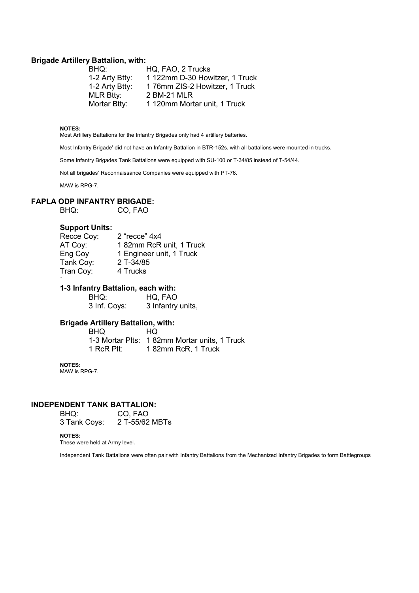#### Brigade Artillery Battalion, with:

| BHQ:             | HQ, FAO, 2 Trucks              |
|------------------|--------------------------------|
| 1-2 Arty Btty:   | 1 122mm D-30 Howitzer, 1 Truck |
| 1-2 Arty Btty:   | 176mm ZIS-2 Howitzer, 1 Truck  |
| <b>MLR Btty:</b> | 2 BM-21 MLR                    |
| Mortar Btty:     | 1 120mm Mortar unit, 1 Truck   |

#### NOTES:

Most Artillery Battalions for the Infantry Brigades only had 4 artillery batteries.

Most Infantry Brigade' did not have an Infantry Battalion in BTR-152s, with all battalions were mounted in trucks.

Some Infantry Brigades Tank Battalions were equipped with SU-100 or T-34/85 instead of T-54/44.

Not all brigades' Reconnaissance Companies were equipped with PT-76.

MAW is RPG-7.

# **FAPLA ODP INFANTRY BRIGADE:**<br>BHQ: CO, FAQ

CO, FAO

#### Support Units:

| Recce Coy: | 2 "recce" 4x4            |
|------------|--------------------------|
| AT Coy:    | 182mm RcR unit, 1 Truck  |
| Eng Coy    | 1 Engineer unit, 1 Truck |
| Tank Coy:  | 2 T-34/85                |
| Tran Coy:  | 4 Trucks                 |
|            |                          |

## 1-3 Infantry Battalion, each with:

BHQ: HQ, FAO<br>3 Inf. Coys: 3 Infantry 3 Infantry units,

## Brigade Artillery Battalion, with:

 BHQ HQ 1-3 Mortar Plts: 1 82mm Mortar units, 1 Truck 1 RcR Plt: 1 82mm RcR, 1 Truck

#### NOTES:

MAW is RPG-7.

# **INDEPENDENT TANK BATTALION:**<br>RHO: CO FAO

CO, FAO<br>2 T-55/62 MBTs 3 Tank Coys:

#### NOTES:

These were held at Army level.

Independent Tank Battalions were often pair with Infantry Battalions from the Mechanized Infantry Brigades to form Battlegroups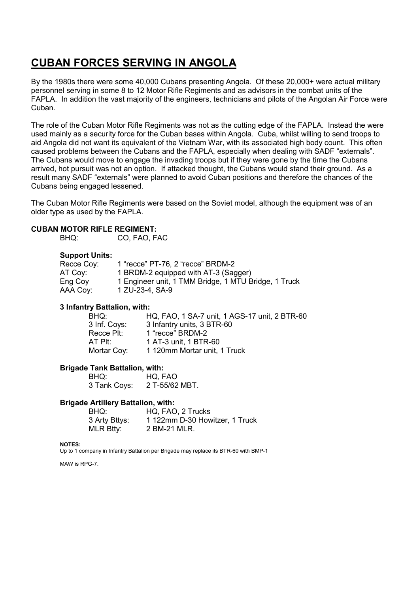# CUBAN FORCES SERVING IN ANGOLA

By the 1980s there were some 40,000 Cubans presenting Angola. Of these 20,000+ were actual military personnel serving in some 8 to 12 Motor Rifle Regiments and as advisors in the combat units of the FAPLA. In addition the vast majority of the engineers, technicians and pilots of the Angolan Air Force were Cuban.

The role of the Cuban Motor Rifle Regiments was not as the cutting edge of the FAPLA. Instead the were used mainly as a security force for the Cuban bases within Angola. Cuba, whilst willing to send troops to aid Angola did not want its equivalent of the Vietnam War, with its associated high body count. This often caused problems between the Cubans and the FAPLA, especially when dealing with SADF "externals". The Cubans would move to engage the invading troops but if they were gone by the time the Cubans arrived, hot pursuit was not an option. If attacked thought, the Cubans would stand their ground. As a result many SADF "externals" were planned to avoid Cuban positions and therefore the chances of the Cubans being engaged lessened.

The Cuban Motor Rifle Regiments were based on the Soviet model, although the equipment was of an older type as used by the FAPLA.

# CUBAN MOTOR RIFLE REGIMENT:

BHQ: CO, FAO, FAC

# Support Units:

| Recce Coy: | 1 "recce" PT-76, 2 "recce" BRDM-2                    |
|------------|------------------------------------------------------|
| AT Coy:    | 1 BRDM-2 equipped with AT-3 (Sagger)                 |
| Eng Coy    | 1 Engineer unit, 1 TMM Bridge, 1 MTU Bridge, 1 Truck |
| AAA Coy:   | 1 ZU-23-4, SA-9                                      |

# 3 Infantry Battalion, with:

| BHQ:         | HQ, FAO, 1 SA-7 unit, 1 AGS-17 unit, 2 BTR-60 |
|--------------|-----------------------------------------------|
| 3 Inf. Coys: | 3 Infantry units, 3 BTR-60                    |
| Recce Plt:   | 1 "recce" BRDM-2                              |
| AT PII:      | 1 AT-3 unit, 1 BTR-60                         |
| Mortar Coy:  | 1 120mm Mortar unit, 1 Truck                  |

# Brigade Tank Battalion, with:

 BHQ: HQ, FAO 3 Tank Coys: 2 T-55/62 MBT.

# Brigade Artillery Battalion, with:

| BHQ:          | HQ, FAO, 2 Trucks              |
|---------------|--------------------------------|
| 3 Arty Bttys: | 1 122mm D-30 Howitzer, 1 Truck |
| MLR Btty:     | 2 BM-21 MLR.                   |

#### NOTES:

Up to 1 company in Infantry Battalion per Brigade may replace its BTR-60 with BMP-1

MAW is RPG-7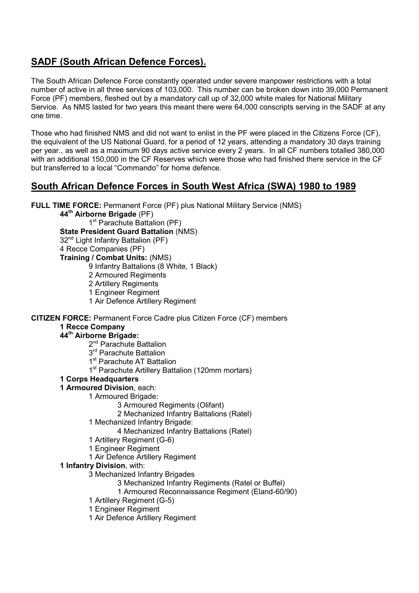# SADF (South African Defence Forces).

The South African Defence Force constantly operated under severe manpower restrictions with a total number of active in all three services of 103,000. This number can be broken down into 39,000 Permanent Force (PF) members, fleshed out by a mandatory call up of 32,000 white males for National Military Service. As NMS lasted for two years this meant there were 64,000 conscripts serving in the SADF at any one time.

Those who had finished NMS and did not want to enlist in the PF were placed in the Citizens Force (CF), the equivalent of the US National Guard, for a period of 12 years, attending a mandatory 30 days training per year., as well as a maximum 90 days active service every 2 years. In all CF numbers totalled 380,000 with an additional 150,000 in the CF Reserves which were those who had finished there service in the CF but transferred to a local "Commando" for home defence.

# South African Defence Forces in South West Africa (SWA) 1980 to 1989

FULL TIME FORCE: Permanent Force (PF) plus National Military Service (NMS)

44<sup>th</sup> Airborne Brigade (PF)

1<sup>st</sup> Parachute Battalion (PF)

State President Guard Battalion (NMS)

- 32<sup>nd</sup> Light Infantry Battalion (PF)
- 4 Recce Companies (PF)

Training / Combat Units: (NMS)

- 9 Infantry Battalions (8 White, 1 Black)
- 2 Armoured Regiments
- 2 Artillery Regiments
- 1 Engineer Regiment
- 1 Air Defence Artillery Regiment

CITIZEN FORCE: Permanent Force Cadre plus Citizen Force (CF) members

# 1 Recce Company

# 44th Airborne Brigade:

- 2<sup>nd</sup> Parachute Battalion
- 3<sup>rd</sup> Parachute Battalion
- 1<sup>st</sup> Parachute AT Battalion
- 1<sup>st</sup> Parachute Artillery Battalion (120mm mortars)

# 1 Corps Headquarters

- 1 Armoured Division, each:
	- 1 Armoured Brigade:
		- 3 Armoured Regiments (Olifant)
		- 2 Mechanized Infantry Battalions (Ratel)
	- 1 Mechanized Infantry Brigade:
		- 4 Mechanized Infantry Battalions (Ratel)
	- 1 Artillery Regiment (G-6)
	- 1 Engineer Regiment
	- 1 Air Defence Artillery Regiment
- 1 Infantry Division, with:
	- 3 Mechanized Infantry Brigades
		- 3 Mechanized Infantry Regiments (Ratel or Buffel)
		- 1 Armoured Reconnaissance Regiment (Eland-60/90)
	- 1 Artillery Regiment (G-5)
	- 1 Engineer Regiment
	- 1 Air Defence Artillery Regiment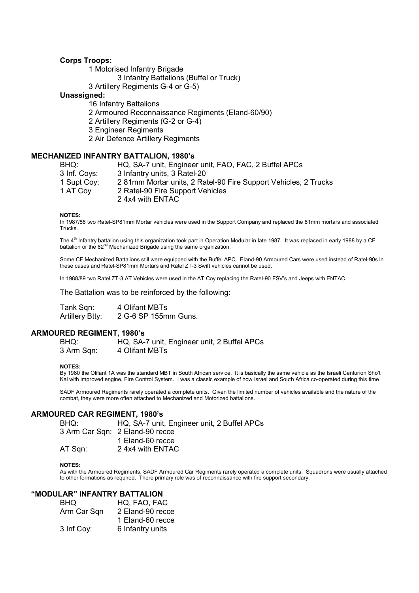## Corps Troops:

1 Motorised Infantry Brigade

3 Infantry Battalions (Buffel or Truck)

3 Artillery Regiments G-4 or G-5)

## Unassigned:

 16 Infantry Battalions 2 Armoured Reconnaissance Regiments (Eland-60/90) 2 Artillery Regiments (G-2 or G-4) 3 Engineer Regiments 2 Air Defence Artillery Regiments

## MECHANIZED INFANTRY BATTALION, 1980's

| BHQ:         | HQ, SA-7 unit, Engineer unit, FAO, FAC, 2 Buffel APCs          |
|--------------|----------------------------------------------------------------|
| 3 Inf. Coys: | 3 Infantry units, 3 Ratel-20                                   |
| 1 Supt Coy:  | 281mm Mortar units, 2 Ratel-90 Fire Support Vehicles, 2 Trucks |
| 1 AT Coy     | 2 Ratel-90 Fire Support Vehicles                               |
|              | 2 4x4 with ENTAC                                               |

NOTES:

In 1987/88 two Ratel-SP81mm Mortar vehicles were used in the Support Company and replaced the 81mm mortars and associated Trucks.

The 4<sup>th</sup> Infantry battalion using this organization took part in Operation Modular in late 1987. It was replaced in early 1988 by a CF battalion or the 82<sup>nd</sup> Mechanized Brigade using the same organization.

Some CF Mechanized Battalions still were equipped with the Buffel APC. Eland-90 Armoured Cars were used instead of Ratel-90s in these cases and Ratel-SP81mm Mortars and Ratel ZT-3 Swift vehicles cannot be used.

In 1988/89 two Ratel ZT-3 AT Vehicles were used in the AT Coy replacing the Ratel-90 FSV's and Jeeps with ENTAC.

The Battalion was to be reinforced by the following:

Tank Sqn: 4 Olifant MBTs Artillery Btty: 2 G-6 SP 155mm Guns.

#### ARMOURED REGIMENT, 1980's

 BHQ: HQ, SA-7 unit, Engineer unit, 2 Buffel APCs 3 Arm Sqn: 4 Olifant MBTs

#### NOTES:

By 1980 the Olifant 1A was the standard MBT in South African service. It is basically the same vehicle as the Israeli Centurion Sho't Kal with improved engine, Fire Control System. I was a classic example of how Israel and South Africa co-operated during this time

SADF Armoured Regiments rarely operated a complete units. Given the limited number of vehicles available and the nature of the combat, they were more often attached to Mechanized and Motorized battalions.

# ARMOURED CAR REGIMENT, 1980's

 BHQ: HQ, SA-7 unit, Engineer unit, 2 Buffel APCs 3 Arm Car Sqn: 2 Eland-90 recce 1 Eland-60 recce AT Sqn: 2 4x4 with ENTAC

#### NOTES:

As with the Armoured Regiments, SADF Armoured Car Regiments rarely operated a complete units. Squadrons were usually attached to other formations as required. There primary role was of reconnaissance with fire support secondary.

## "MODULAR" INFANTRY BATTALION

| BHQ         | HQ, FAO, FAC     |
|-------------|------------------|
| Arm Car Sqn | 2 Eland-90 recce |
|             | 1 Eland-60 recce |
| 3 Inf Coy:  | 6 Infantry units |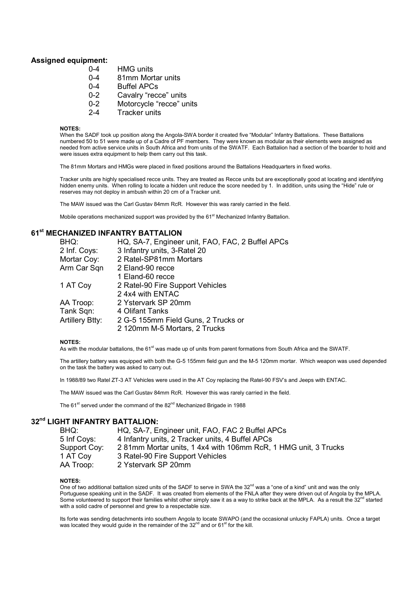## Assigned equipment:

- 0-4 HMG units
- 0-4 81mm Mortar units
- 0-4 Buffel APCs
- 0-2 Cavalry "recce" units
- 0-2 Motorcycle "recce" units
- 2-4 Tracker units

#### NOTES:

When the SADF took up position along the Angola-SWA border it created five "Modular" Infantry Battalions. These Battalions numbered 50 to 51 were made up of a Cadre of PF members. They were known as modular as their elements were assigned as needed from active service units in South Africa and from units of the SWATF. Each Battalion had a section of the boarder to hold and were issues extra equipment to help them carry out this task.

The 81mm Mortars and HMGs were placed in fixed positions around the Battalions Headquarters in fixed works.

Tracker units are highly specialised recce units. They are treated as Recce units but are exceptionally good at locating and identifying hidden enemy units. When rolling to locate a hidden unit reduce the score needed by 1. In addition, units using the "Hide" rule or reserves may not deploy in ambush within 20 cm of a Tracker unit.

The MAW issued was the Carl Gustav 84mm RcR. However this was rarely carried in the field.

Mobile operations mechanized support was provided by the 61<sup>st</sup> Mechanized Infantry Battalion.

# **61st MECHANIZED INFANTRY BATTALION**

| BHQ:                   | HQ, SA-7, Engineer unit, FAO, FAC, 2 Buffel APCs |
|------------------------|--------------------------------------------------|
| 2 Inf. Coys:           | 3 Infantry units, 3-Ratel 20                     |
| Mortar Coy:            | 2 Ratel-SP81mm Mortars                           |
| Arm Car Sqn            | 2 Eland-90 recce                                 |
|                        | 1 Eland-60 recce                                 |
| 1 AT Coy               | 2 Ratel-90 Fire Support Vehicles                 |
|                        | 2 4x4 with ENTAC                                 |
| AA Troop:              | 2 Ystervark SP 20mm                              |
| Tank Sqn:              | 4 Olifant Tanks                                  |
| <b>Artillery Btty:</b> | 2 G-5 155mm Field Guns, 2 Trucks or              |
|                        | 2 120mm M-5 Mortars, 2 Trucks                    |
|                        |                                                  |

#### NOTES:

As with the modular battalions, the 61<sup>st</sup> was made up of units from parent formations from South Africa and the SWATF.

The artillery battery was equipped with both the G-5 155mm field gun and the M-5 120mm mortar. Which weapon was used depended on the task the battery was asked to carry out.

In 1988/89 two Ratel ZT-3 AT Vehicles were used in the AT Coy replacing the Ratel-90 FSV's and Jeeps with ENTAC.

The MAW issued was the Carl Gustav 84mm RcR. However this was rarely carried in the field.

The 61<sup>st</sup> served under the command of the 82<sup>nd</sup> Mechanized Brigade in 1988

# 32<sup>nd</sup> LIGHT INFANTRY BATTALION:

| HQ, SA-7, Engineer unit, FAO, FAC 2 Buffel APCs                               |
|-------------------------------------------------------------------------------|
| 4 Infantry units, 2 Tracker units, 4 Buffel APCs                              |
| 281mm Mortar units, 14x4 with 106mm RcR, 1 HMG unit, 3 Trucks<br>Support Coy: |
| 3 Ratel-90 Fire Support Vehicles                                              |
| 2 Ystervark SP 20mm                                                           |
|                                                                               |

#### NOTES:

One of two additional battalion sized units of the SADF to serve in SWA the 32<sup>nd</sup> was a "one of a kind" unit and was the only Portuguese speaking unit in the SADF. It was created from elements of the FNLA after they were driven out of Angola by the MPLA. Some volunteered to support their families whilst other simply saw it as a way to strike back at the MPLA. As a result the  $32<sup>nd</sup>$  started with a solid cadre of personnel and grew to a respectable size.

lts forte was sending detachments into southern Angola to locate SWAPO (and the occasional unlucky FAPLA) units. Once a target<br>was located they would guide in the remainder of the 32<sup>nd</sup> and or 61<sup>st</sup> for the kill.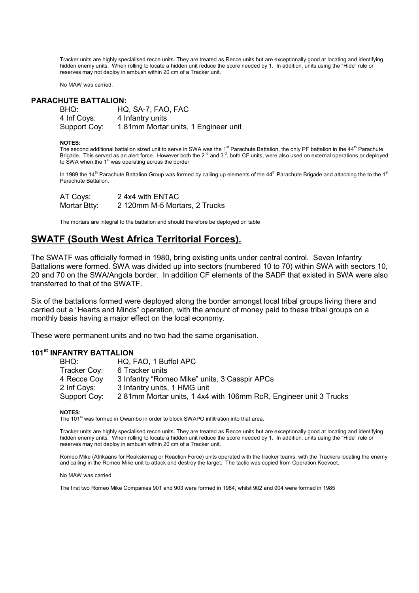Tracker units are highly specialised recce units. They are treated as Recce units but are exceptionally good at locating and identifying hidden enemy units. When rolling to locate a hidden unit reduce the score needed by 1. In addition, units using the "Hide" rule or reserves may not deploy in ambush within 20 cm of a Tracker unit.

No MAW was carried.

#### PARACHUTE BATTALION:

| BHQ:         | HQ, SA-7, FAO, FAC                  |
|--------------|-------------------------------------|
| 4 Inf Coys:  | 4 Infantry units                    |
| Support Coy: | 181mm Mortar units, 1 Engineer unit |

#### NOTES:

The second additional battalion sized unit to serve in SWA was the 1<sup>st</sup> Parachute Battalion, the only PF battalion in the  $44<sup>th</sup>$  Parachute Brigade. This served as an alert force. However both the  $2^{nd}$  and  $3^{rd}$ , both CF units, were also used on external operations or deployed to SWA when the  $1<sup>st</sup>$  was operating across the border

In 1989 the 14<sup>th</sup> Parachute Battalion Group was formed by calling up elements of the 44<sup>th</sup> Parachute Brigade and attaching the to the 1<sup>st</sup> Parachute Battalion.

| AT Coys:     | 2 4x4 with ENTAC              |
|--------------|-------------------------------|
| Mortar Btty: | 2 120mm M-5 Mortars, 2 Trucks |

The mortars are integral to the battalion and should therefore be deployed on table

# SWATF (South West Africa Territorial Forces).

The SWATF was officially formed in 1980, bring existing units under central control. Seven Infantry Battalions were formed. SWA was divided up into sectors (numbered 10 to 70) within SWA with sectors 10, 20 and 70 on the SWA/Angola border. In addition CF elements of the SADF that existed in SWA were also transferred to that of the SWATF.

Six of the battalions formed were deployed along the border amongst local tribal groups living there and carried out a "Hearts and Minds" operation, with the amount of money paid to these tribal groups on a monthly basis having a major effect on the local economy.

These were permanent units and no two had the same organisation.

# 101<sup>st</sup> INFANTRY BATTALION

| BHQ:         | HQ, FAO, 1 Buffel APC                                           |
|--------------|-----------------------------------------------------------------|
| Tracker Coy: | 6 Tracker units                                                 |
| 4 Recce Coy  | 3 Infantry "Romeo Mike" units, 3 Casspir APCs                   |
| 2 Inf Coys:  | 3 Infantry units, 1 HMG unit                                    |
| Support Coy: | 281mm Mortar units, 14x4 with 106mm RcR, Engineer unit 3 Trucks |

NOTES:

The 101<sup>st</sup> was formed in Owambo in order to block SWAPO infiltration into that area.

Tracker units are highly specialised recce units. They are treated as Recce units but are exceptionally good at locating and identifying hidden enemy units. When rolling to locate a hidden unit reduce the score needed by 1. In addition, units using the "Hide" rule or reserves may not deploy in ambush within 20 cm of a Tracker unit.

Romeo Mike (Afrikaans for Reaksiemag or Reaction Force) units operated with the tracker teams, with the Trackers locating the enemy and calling in the Romeo Mike unit to attack and destroy the target. The tactic was copied from Operation Koevoet.

No MAW was carried

The first two Romeo Mike Companies 901 and 903 were formed in 1984, whilst 902 and 904 were formed in 1985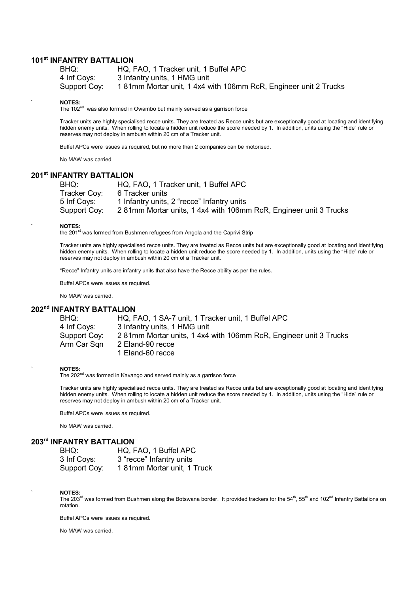# 101<sup>st</sup> INFANTRY BATTALION

| BHQ:         | HQ, FAO, 1 Tracker unit, 1 Buffel APC                          |
|--------------|----------------------------------------------------------------|
| 4 Inf Covs:  | 3 Infantry units, 1 HMG unit                                   |
| Support Coy: | 181mm Mortar unit, 14x4 with 106mm RcR, Engineer unit 2 Trucks |

#### ` NOTES:

The 102<sup>nd</sup> was also formed in Owambo but mainly served as a garrison force

Tracker units are highly specialised recce units. They are treated as Recce units but are exceptionally good at locating and identifying hidden enemy units. When rolling to locate a hidden unit reduce the score needed by 1. In addition, units using the "Hide" rule or reserves may not deploy in ambush within 20 cm of a Tracker unit.

Buffel APCs were issues as required, but no more than 2 companies can be motorised.

No MAW was carried

# 201st INFANTRY BATTALION

| BHQ:         | HQ, FAO, 1 Tracker unit, 1 Buffel APC                           |
|--------------|-----------------------------------------------------------------|
| Tracker Coy: | 6 Tracker units                                                 |
| 5 Inf Covs:  | 1 Infantry units, 2 "recce" Infantry units                      |
| Support Coy: | 281mm Mortar units, 14x4 with 106mm RcR, Engineer unit 3 Trucks |

#### ` NOTES:

the 201st was formed from Bushmen refugees from Angola and the Caprivi Strip

Tracker units are highly specialised recce units. They are treated as Recce units but are exceptionally good at locating and identifying hidden enemy units. When rolling to locate a hidden unit reduce the score needed by 1. In addition, units using the "Hide" rule or reserves may not deploy in ambush within 20 cm of a Tracker unit.

"Recce" Infantry units are infantry units that also have the Recce ability as per the rules.

Buffel APCs were issues as required.

No MAW was carried.

## 202<sup>nd</sup> INFANTRY BATTALION

| BHQ:         | HQ, FAO, 1 SA-7 unit, 1 Tracker unit, 1 Buffel APC              |
|--------------|-----------------------------------------------------------------|
| 4 Inf Coys:  | 3 Infantry units, 1 HMG unit                                    |
| Support Coy: | 281mm Mortar units, 14x4 with 106mm RcR, Engineer unit 3 Trucks |
| Arm Car Sqn  | 2 Eland-90 recce                                                |
|              | 1 Eland-60 recce                                                |

#### ` NOTES:

The 202<sup>nd</sup> was formed in Kavango and served mainly as a garrison force

Tracker units are highly specialised recce units. They are treated as Recce units but are exceptionally good at locating and identifying hidden enemy units. When rolling to locate a hidden unit reduce the score needed by 1. In addition, units using the "Hide" rule or reserves may not deploy in ambush within 20 cm of a Tracker unit.

Buffel APCs were issues as required.

No MAW was carried.

## 203rd INFANTRY BATTALION

| BHQ:         | HQ, FAO, 1 Buffel APC      |
|--------------|----------------------------|
| 3 Inf Coys:  | 3 "recce" Infantry units   |
| Support Coy: | 181mm Mortar unit, 1 Truck |

#### ` NOTES:

The 203<sup>rd</sup> was formed from Bushmen along the Botswana border. It provided trackers for the 54<sup>th</sup>, 55<sup>th</sup> and 102<sup>nd</sup> Infantry Battalions on rotation.

Buffel APCs were issues as required.

No MAW was carried.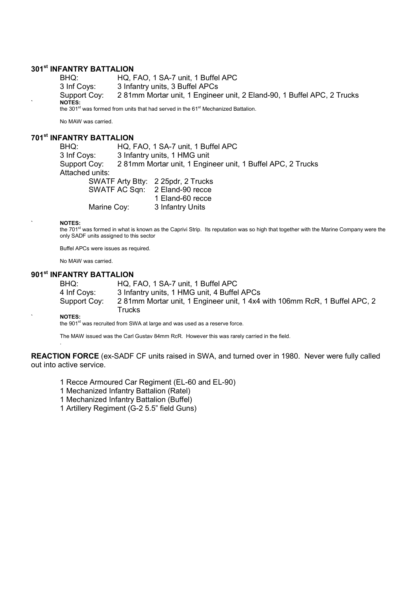# **301st INFANTRY BATTALION**

BHQ: HQ, FAO, 1 SA-7 unit, 1 Buffel APC 3 Inf Coys: 3 Infantry units, 3 Buffel APCs Support Coy: 2 81mm Mortar unit, 1 Engineer unit, 2 Eland-90, 1 Buffel APC, 2 Trucks ` NOTES: the 301 $\mathrm{^{st}}$  was formed from units that had served in the 61 $\mathrm{^{st}}$  Mechanized Battalion.

No MAW was carried.

# 701st INFANTRY BATTALION

BHQ: HQ, FAO, 1 SA-7 unit, 1 Buffel APC 3 Inf Coys: 3 Infantry units, 1 HMG unit Support Coy: 2 81mm Mortar unit, 1 Engineer unit, 1 Buffel APC, 2 Trucks Attached units: SWATF Arty Btty: 2 25pdr, 2 Trucks SWATF AC Sqn: 2 Eland-90 recce 1 Eland-60 recce Marine Cov: 3 Infantry Units

` NOTES:

the 701<sup>st</sup> was formed in what is known as the Caprivi Strip. Its reputation was so high that together with the Marine Company were the only SADF units assigned to this sector

Buffel APCs were issues as required.

No MAW was carried.

# 901<sup>st</sup> INFANTRY BATTALION

BHQ: HQ, FAO, 1 SA-7 unit, 1 Buffel APC 4 Inf Coys: 3 Infantry units, 1 HMG unit, 4 Buffel APCs Support Coy: 2 81mm Mortar unit, 1 Engineer unit, 1 4x4 with 106mm RcR, 1 Buffel APC, 2 **Trucks** 

` NOTES:

.

the 901<sup>st</sup> was recruited from SWA at large and was used as a reserve force.

The MAW issued was the Carl Gustav 84mm RcR. However this was rarely carried in the field.

REACTION FORCE (ex-SADF CF units raised in SWA, and turned over in 1980. Never were fully called out into active service.

- 1 Recce Armoured Car Regiment (EL-60 and EL-90)
- 1 Mechanized Infantry Battalion (Ratel)
- 1 Mechanized Infantry Battalion (Buffel)
- 1 Artillery Regiment (G-2 5.5" field Guns)